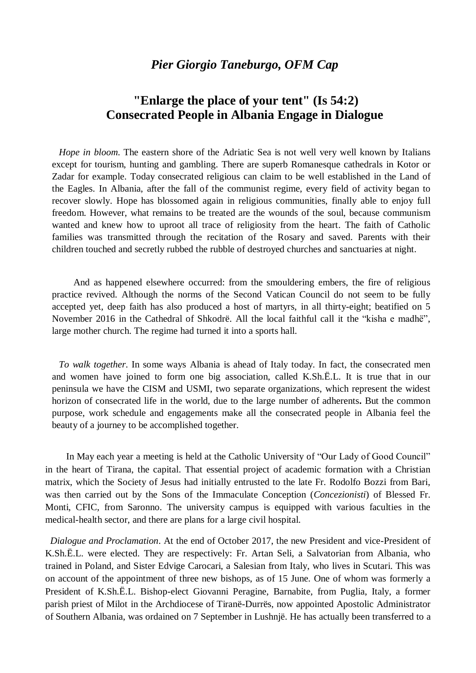## *Pier Giorgio Taneburgo, OFM Cap*

## **"Enlarge the place of your tent" (Is 54:2) Consecrated People in Albania Engage in Dialogue**

*Hope in bloom*. The eastern shore of the Adriatic Sea is not well very well known by Italians except for tourism, hunting and gambling. There are superb Romanesque cathedrals in Kotor or Zadar for example. Today consecrated religious can claim to be well established in the Land of the Eagles. In Albania, after the fall of the communist regime, every field of activity began to recover slowly. Hope has blossomed again in religious communities, finally able to enjoy full freedom. However, what remains to be treated are the wounds of the soul, because communism wanted and knew how to uproot all trace of religiosity from the heart. The faith of Catholic families was transmitted through the recitation of the Rosary and saved. Parents with their children touched and secretly rubbed the rubble of destroyed churches and sanctuaries at night.

And as happened elsewhere occurred: from the smouldering embers, the fire of religious practice revived. Although the norms of the Second Vatican Council do not seem to be fully accepted yet, deep faith has also produced a host of martyrs, in all thirty-eight; beatified on 5 November 2016 in the Cathedral of Shkodrë. All the local faithful call it the "kisha e madhë", large mother church. The regime had turned it into a sports hall.

*To walk together*. In some ways Albania is ahead of Italy today. In fact, the consecrated men and women have joined to form one big association, called K.Sh.Ë.L. It is true that in our peninsula we have the CISM and USMI, two separate organizations, which represent the widest horizon of consecrated life in the world, due to the large number of adherents**.** But the common purpose, work schedule and engagements make all the consecrated people in Albania feel the beauty of a journey to be accomplished together.

 In May each year a meeting is held at the Catholic University of "Our Lady of Good Council" in the heart of Tirana, the capital. That essential project of academic formation with a Christian matrix, which the Society of Jesus had initially entrusted to the late Fr. Rodolfo Bozzi from Bari, was then carried out by the Sons of the Immaculate Conception (*Concezionisti*) of Blessed Fr. Monti, CFIC, from Saronno. The university campus is equipped with various faculties in the medical-health sector, and there are plans for a large civil hospital.

 *Dialogue and Proclamation*. At the end of October 2017, the new President and vice-President of K.Sh.Ë.L. were elected. They are respectively: Fr. Artan Seli, a Salvatorian from Albania, who trained in Poland, and Sister Edvige Carocari, a Salesian from Italy, who lives in Scutari. This was on account of the appointment of three new bishops, as of 15 June. One of whom was formerly a President of K.Sh.Ë.L. Bishop-elect Giovanni Peragine, Barnabite, from Puglia, Italy, a former parish priest of Milot in the Archdiocese of Tiranë-Durrës, now appointed Apostolic Administrator of Southern Albania, was ordained on 7 September in Lushnjë. He has actually been transferred to a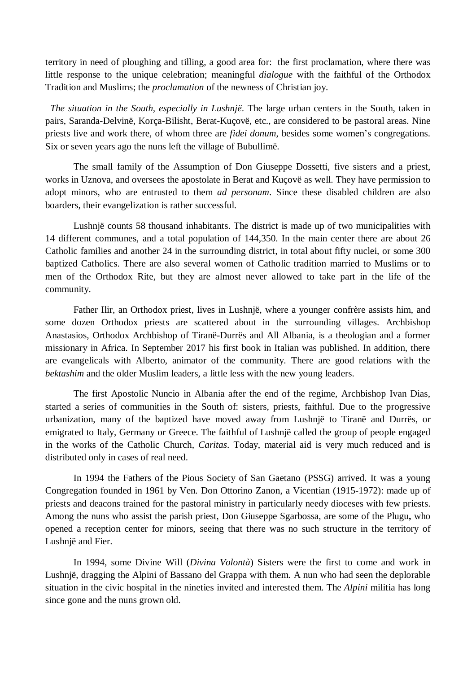territory in need of ploughing and tilling, a good area for: the first proclamation, where there was little response to the unique celebration; meaningful *dialogue* with the faithful of the Orthodox Tradition and Muslims; the *proclamation* of the newness of Christian joy.

 *The situation in the South, especially in Lushnjë*. The large urban centers in the South, taken in pairs, Saranda-Delvinë, Korça-Bilisht, Berat-Kuçovë, etc., are considered to be pastoral areas. Nine priests live and work there, of whom three are *fidei donum*, besides some women's congregations. Six or seven years ago the nuns left the village of Bubullimë.

The small family of the Assumption of Don Giuseppe Dossetti, five sisters and a priest, works in Uznova, and oversees the apostolate in Berat and Kuçovë as well. They have permission to adopt minors, who are entrusted to them *ad personam*. Since these disabled children are also boarders, their evangelization is rather successful.

Lushnjë counts 58 thousand inhabitants. The district is made up of two municipalities with 14 different communes, and a total population of 144,350. In the main center there are about 26 Catholic families and another 24 in the surrounding district, in total about fifty nuclei, or some 300 baptized Catholics. There are also several women of Catholic tradition married to Muslims or to men of the Orthodox Rite, but they are almost never allowed to take part in the life of the community.

Father Ilir, an Orthodox priest, lives in Lushnjë, where a younger confrère assists him, and some dozen Orthodox priests are scattered about in the surrounding villages. Archbishop Anastasios, Orthodox Archbishop of Tiranë-Durrës and All Albania, is a theologian and a former missionary in Africa. In September 2017 his first book in Italian was published. In addition, there are evangelicals with Alberto, animator of the community. There are good relations with the *bektashim* and the older Muslim leaders, a little less with the new young leaders.

The first Apostolic Nuncio in Albania after the end of the regime, Archbishop Ivan Dias, started a series of communities in the South of: sisters, priests, faithful. Due to the progressive urbanization, many of the baptized have moved away from Lushnjë to Tiranë and Durrës, or emigrated to Italy, Germany or Greece. The faithful of Lushnjë called the group of people engaged in the works of the Catholic Church, *Caritas*. Today, material aid is very much reduced and is distributed only in cases of real need.

In 1994 the Fathers of the Pious Society of San Gaetano (PSSG) arrived. It was a young Congregation founded in 1961 by Ven. Don Ottorino Zanon, a Vicentian (1915-1972): made up of priests and deacons trained for the pastoral ministry in particularly needy dioceses with few priests. Among the nuns who assist the parish priest, Don Giuseppe Sgarbossa, are some of the Plugu**,** who opened a reception center for minors, seeing that there was no such structure in the territory of Lushnjë and Fier.

In 1994, some Divine Will (*Divina Volontà*) Sisters were the first to come and work in Lushnjë, dragging the Alpini of Bassano del Grappa with them. A nun who had seen the deplorable situation in the civic hospital in the nineties invited and interested them. The *Alpini* militia has long since gone and the nuns grown old.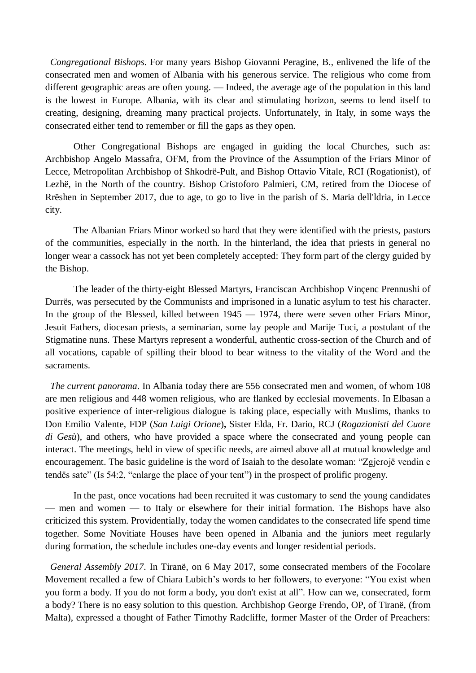*Congregational Bishops*. For many years Bishop Giovanni Peragine, B., enlivened the life of the consecrated men and women of Albania with his generous service. The religious who come from different geographic areas are often young. — Indeed, the average age of the population in this land is the lowest in Europe. Albania, with its clear and stimulating horizon, seems to lend itself to creating, designing, dreaming many practical projects. Unfortunately, in Italy, in some ways the consecrated either tend to remember or fill the gaps as they open.

Other Congregational Bishops are engaged in guiding the local Churches, such as: Archbishop Angelo Massafra, OFM, from the Province of the Assumption of the Friars Minor of Lecce, Metropolitan Archbishop of Shkodrë-Pult, and Bishop Ottavio Vitale, RCI (Rogationist), of Lezhë, in the North of the country. Bishop Cristoforo Palmieri, CM, retired from the Diocese of Rrëshen in September 2017, due to age, to go to live in the parish of S. Maria dell'ldria, in Lecce city.

The Albanian Friars Minor worked so hard that they were identified with the priests, pastors of the communities, especially in the north. In the hinterland, the idea that priests in general no longer wear a cassock has not yet been completely accepted: They form part of the clergy guided by the Bishop.

The leader of the thirty-eight Blessed Martyrs, Franciscan Archbishop Vinçenc Prennushi of Durrës, was persecuted by the Communists and imprisoned in a lunatic asylum to test his character. In the group of the Blessed, killed between 1945 — 1974, there were seven other Friars Minor, Jesuit Fathers, diocesan priests, a seminarian, some lay people and Marije Tuci, a postulant of the Stigmatine nuns. These Martyrs represent a wonderful, authentic cross-section of the Church and of all vocations, capable of spilling their blood to bear witness to the vitality of the Word and the sacraments.

 *The current panorama*. In Albania today there are 556 consecrated men and women, of whom 108 are men religious and 448 women religious, who are flanked by ecclesial movements. In Elbasan a positive experience of inter-religious dialogue is taking place, especially with Muslims, thanks to Don Emilio Valente, FDP (*San Luigi Orione*)**,** Sister Elda, Fr. Dario, RCJ (*Rogazionisti del Cuore di Gesù*), and others, who have provided a space where the consecrated and young people can interact. The meetings, held in view of specific needs, are aimed above all at mutual knowledge and encouragement. The basic guideline is the word of Isaiah to the desolate woman: "Zgjerojë vendin e tendës sate" (Is 54:2, "enlarge the place of your tent") in the prospect of prolific progeny.

In the past, once vocations had been recruited it was customary to send the young candidates — men and women — to Italy or elsewhere for their initial formation. The Bishops have also criticized this system. Providentially, today the women candidates to the consecrated life spend time together. Some Novitiate Houses have been opened in Albania and the juniors meet regularly during formation, the schedule includes one-day events and longer residential periods.

 *General Assembly 2017*. In Tiranë, on 6 May 2017, some consecrated members of the Focolare Movement recalled a few of Chiara Lubich's words to her followers, to everyone: "You exist when you form a body. If you do not form a body, you don't exist at all". How can we, consecrated, form a body? There is no easy solution to this question. Archbishop George Frendo, OP, of Tiranë, (from Malta), expressed a thought of Father Timothy Radcliffe, former Master of the Order of Preachers: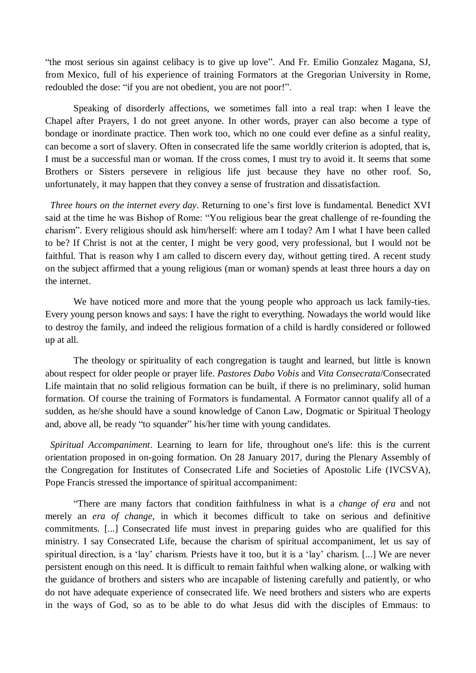"the most serious sin against celibacy is to give up love". And Fr. Emilio Gonzalez Magana, SJ, from Mexico, full of his experience of training Formators at the Gregorian University in Rome, redoubled the dose: "if you are not obedient, you are not poor!".

Speaking of disorderly affections, we sometimes fall into a real trap: when I leave the Chapel after Prayers, I do not greet anyone. In other words, prayer can also become a type of bondage or inordinate practice. Then work too, which no one could ever define as a sinful reality, can become a sort of slavery. Often in consecrated life the same worldly criterion is adopted, that is, I must be a successful man or woman. If the cross comes, I must try to avoid it. It seems that some Brothers or Sisters persevere in religious life just because they have no other roof. So, unfortunately, it may happen that they convey a sense of frustration and dissatisfaction.

 *Three hours on the internet every day*. Returning to one's first love is fundamental. Benedict XVI said at the time he was Bishop of Rome: "You religious bear the great challenge of re-founding the charism". Every religious should ask him/herself: where am I today? Am I what I have been called to be? If Christ is not at the center, I might be very good, very professional, but I would not be faithful. That is reason why I am called to discern every day, without getting tired. A recent study on the subject affirmed that a young religious (man or woman) spends at least three hours a day on the internet.

We have noticed more and more that the young people who approach us lack family-ties. Every young person knows and says: I have the right to everything. Nowadays the world would like to destroy the family, and indeed the religious formation of a child is hardly considered or followed up at all.

The theology or spirituality of each congregation is taught and learned, but little is known about respect for older people or prayer life. *Pastores Dabo Vobis* and *Vita Consecrata*/Consecrated Life maintain that no solid religious formation can be built, if there is no preliminary, solid human formation. Of course the training of Formators is fundamental. A Formator cannot qualify all of a sudden, as he/she should have a sound knowledge of Canon Law, Dogmatic or Spiritual Theology and, above all, be ready "to squander" his/her time with young candidates.

 *Spiritual Accompaniment*. Learning to learn for life, throughout one's life: this is the current orientation proposed in on-going formation. On 28 January 2017, during the Plenary Assembly of the Congregation for Institutes of Consecrated Life and Societies of Apostolic Life (IVCSVA), Pope Francis stressed the importance of spiritual accompaniment:

"There are many factors that condition faithfulness in what is a *change of era* and not merely an *era of change*, in which it becomes difficult to take on serious and definitive commitments. [...] Consecrated life must invest in preparing guides who are qualified for this ministry. I say Consecrated Life, because the charism of spiritual accompaniment, let us say of spiritual direction, is a 'lay' charism. Priests have it too, but it is a 'lay' charism. [...] We are never persistent enough on this need. It is difficult to remain faithful when walking alone, or walking with the guidance of brothers and sisters who are incapable of listening carefully and patiently, or who do not have adequate experience of consecrated life. We need brothers and sisters who are experts in the ways of God, so as to be able to do what Jesus did with the disciples of Emmaus: to